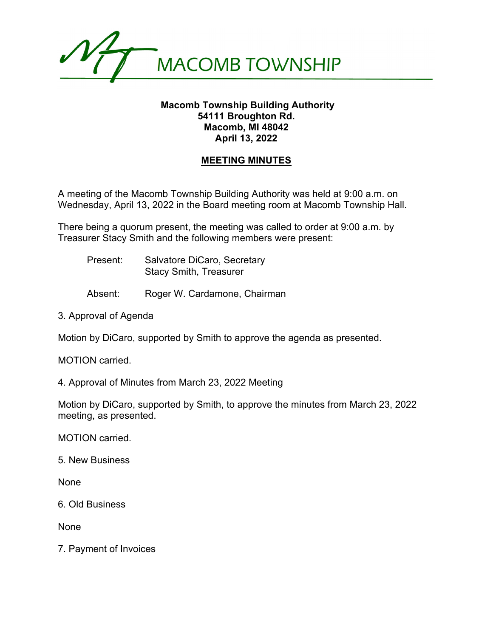

## **Macomb Township Building Authority 54111 Broughton Rd. Macomb, MI 48042 April 13, 2022**

## **MEETING MINUTES**

A meeting of the Macomb Township Building Authority was held at 9:00 a.m. on Wednesday, April 13, 2022 in the Board meeting room at Macomb Township Hall.

There being a quorum present, the meeting was called to order at 9:00 a.m. by Treasurer Stacy Smith and the following members were present:

- Present: Salvatore DiCaro, Secretary Stacy Smith, Treasurer
- Absent: Roger W. Cardamone, Chairman
- 3. Approval of Agenda

Motion by DiCaro, supported by Smith to approve the agenda as presented.

MOTION carried.

4. Approval of Minutes from March 23, 2022 Meeting

Motion by DiCaro, supported by Smith, to approve the minutes from March 23, 2022 meeting, as presented.

MOTION carried.

5. New Business

None

6. Old Business

None

7. Payment of Invoices